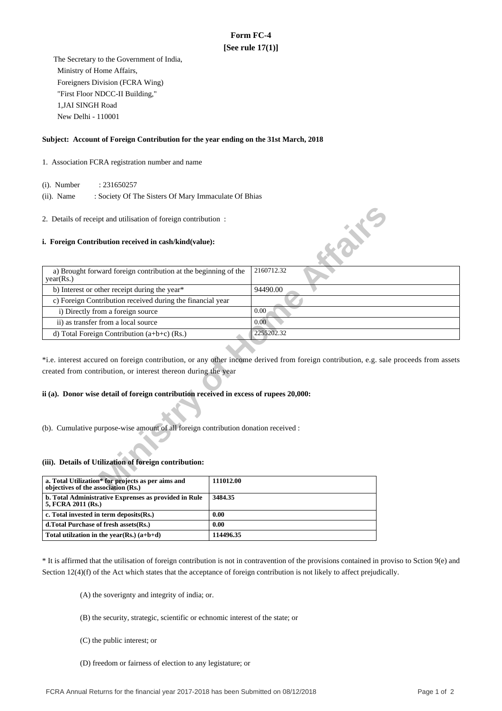# **Form FC-4 [See rule 17(1)]**

 The Secretary to the Government of India, Ministry of Home Affairs, Foreigners Division (FCRA Wing) "First Floor NDCC-II Building," 1,JAI SINGH Road New Delhi - 110001

### **Subject: Account of Foreign Contribution for the year ending on the 31st March, 2018**

#### 1. Association FCRA registration number and name

(i). Number : 231650257

 (ii). Name : Society Of The Sisters Of Mary Immaculate Of Bhias

#### **i. Foreign Contribution received in cash/kind(value):**

| 2. Details of receipt and utilisation of foreign contribution:                                                                        |               |  |  |  |  |
|---------------------------------------------------------------------------------------------------------------------------------------|---------------|--|--|--|--|
| i. Foreign Contribution received in cash/kind(value):                                                                                 | <b>SILLER</b> |  |  |  |  |
| a) Brought forward foreign contribution at the beginning of the<br>year(Rs.)                                                          | 2160712.32    |  |  |  |  |
| b) Interest or other receipt during the year*                                                                                         | 94490.00      |  |  |  |  |
| c) Foreign Contribution received during the financial year                                                                            |               |  |  |  |  |
| i) Directly from a foreign source                                                                                                     | 0.00          |  |  |  |  |
| ii) as transfer from a local source                                                                                                   | 0.00          |  |  |  |  |
| d) Total Foreign Contribution $(a+b+c)$ (Rs.)                                                                                         | 2255202.32    |  |  |  |  |
| *i.e. interest accured on foreign contribution, or any other income derived from foreign contribution, e.g. sale proceeds from assets |               |  |  |  |  |
| created from contribution, or interest thereon during the year                                                                        |               |  |  |  |  |
| ii (a). Donor wise detail of foreign contribution received in excess of rupees 20,000:                                                |               |  |  |  |  |
| (b). Cumulative purpose-wise amount of all foreign contribution donation received :                                                   |               |  |  |  |  |
| (iii). Details of Utilization of foreign contribution:                                                                                |               |  |  |  |  |
| a. Total Utilization* for projects as per aims and<br>objectives of the association (Rs.)                                             | 111012.00     |  |  |  |  |

## **ii (a). Donor wise detail of foreign contribution received in excess of rupees 20,000:**

#### **(iii). Details of Utilization of foreign contribution:**

| a. Total Utilization* for projects as per aims and<br>objectives of the association (Rs.) | 111012.00 |
|-------------------------------------------------------------------------------------------|-----------|
| b. Total Administrative Exprenses as provided in Rule<br>5, FCRA 2011 (Rs.)               | 3484.35   |
| c. Total invested in term deposits $(Rs.)$                                                | 0.00      |
| d. Total Purchase of fresh assets (Rs.)                                                   | 0.00      |
| Total utilization in the year(Rs.) $(a+b+d)$                                              | 114496.35 |

\* It is affirmed that the utilisation of foreign contribution is not in contravention of the provisions contained in proviso to Sction 9(e) and Section 12(4)(f) of the Act which states that the acceptance of foreign contribution is not likely to affect prejudically.

(A) the soverignty and integrity of india; or.

- (B) the security, strategic, scientific or echnomic interest of the state; or
- (C) the public interest; or
- (D) freedom or fairness of election to any legistature; or